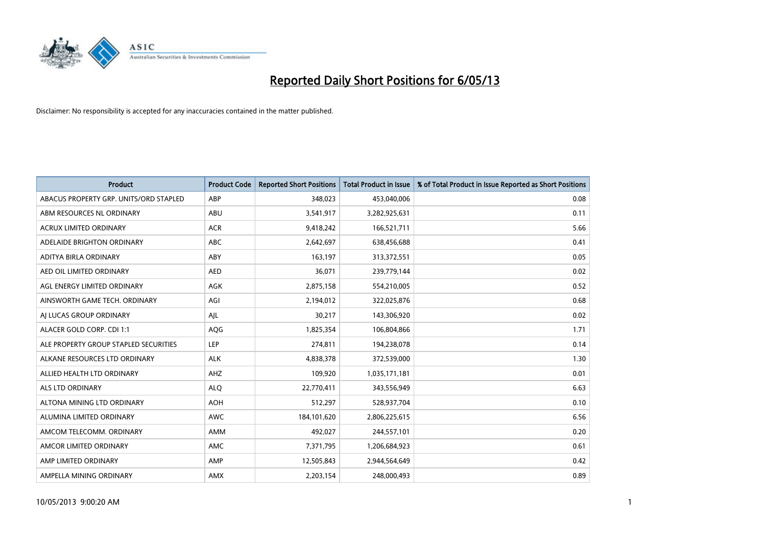

| <b>Product</b>                         | <b>Product Code</b> | <b>Reported Short Positions</b> | <b>Total Product in Issue</b> | % of Total Product in Issue Reported as Short Positions |
|----------------------------------------|---------------------|---------------------------------|-------------------------------|---------------------------------------------------------|
| ABACUS PROPERTY GRP. UNITS/ORD STAPLED | ABP                 | 348,023                         | 453,040,006                   | 0.08                                                    |
| ABM RESOURCES NL ORDINARY              | ABU                 | 3,541,917                       | 3,282,925,631                 | 0.11                                                    |
| <b>ACRUX LIMITED ORDINARY</b>          | <b>ACR</b>          | 9,418,242                       | 166,521,711                   | 5.66                                                    |
| ADELAIDE BRIGHTON ORDINARY             | <b>ABC</b>          | 2,642,697                       | 638,456,688                   | 0.41                                                    |
| ADITYA BIRLA ORDINARY                  | ABY                 | 163,197                         | 313,372,551                   | 0.05                                                    |
| AED OIL LIMITED ORDINARY               | <b>AED</b>          | 36,071                          | 239,779,144                   | 0.02                                                    |
| AGL ENERGY LIMITED ORDINARY            | AGK                 | 2,875,158                       | 554,210,005                   | 0.52                                                    |
| AINSWORTH GAME TECH. ORDINARY          | AGI                 | 2,194,012                       | 322,025,876                   | 0.68                                                    |
| AI LUCAS GROUP ORDINARY                | AJL                 | 30,217                          | 143,306,920                   | 0.02                                                    |
| ALACER GOLD CORP. CDI 1:1              | AQG                 | 1,825,354                       | 106,804,866                   | 1.71                                                    |
| ALE PROPERTY GROUP STAPLED SECURITIES  | <b>LEP</b>          | 274,811                         | 194,238,078                   | 0.14                                                    |
| ALKANE RESOURCES LTD ORDINARY          | <b>ALK</b>          | 4,838,378                       | 372,539,000                   | 1.30                                                    |
| ALLIED HEALTH LTD ORDINARY             | AHZ                 | 109,920                         | 1,035,171,181                 | 0.01                                                    |
| ALS LTD ORDINARY                       | <b>ALO</b>          | 22,770,411                      | 343,556,949                   | 6.63                                                    |
| ALTONA MINING LTD ORDINARY             | <b>AOH</b>          | 512,297                         | 528,937,704                   | 0.10                                                    |
| ALUMINA LIMITED ORDINARY               | AWC                 | 184, 101, 620                   | 2,806,225,615                 | 6.56                                                    |
| AMCOM TELECOMM. ORDINARY               | AMM                 | 492,027                         | 244,557,101                   | 0.20                                                    |
| AMCOR LIMITED ORDINARY                 | <b>AMC</b>          | 7,371,795                       | 1,206,684,923                 | 0.61                                                    |
| AMP LIMITED ORDINARY                   | AMP                 | 12,505,843                      | 2,944,564,649                 | 0.42                                                    |
| AMPELLA MINING ORDINARY                | AMX                 | 2,203,154                       | 248,000,493                   | 0.89                                                    |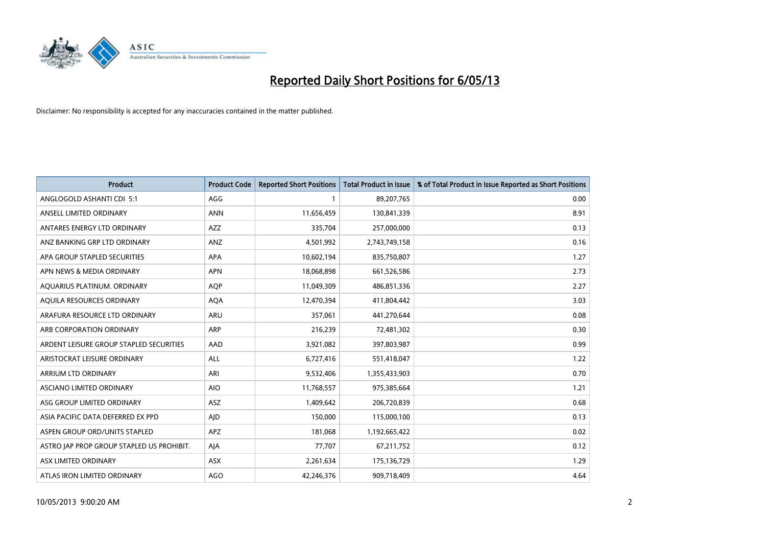

| <b>Product</b>                            | <b>Product Code</b> | <b>Reported Short Positions</b> | <b>Total Product in Issue</b> | % of Total Product in Issue Reported as Short Positions |
|-------------------------------------------|---------------------|---------------------------------|-------------------------------|---------------------------------------------------------|
| ANGLOGOLD ASHANTI CDI 5:1                 | AGG                 | 1                               | 89,207,765                    | 0.00                                                    |
| ANSELL LIMITED ORDINARY                   | <b>ANN</b>          | 11,656,459                      | 130,841,339                   | 8.91                                                    |
| ANTARES ENERGY LTD ORDINARY               | <b>AZZ</b>          | 335,704                         | 257,000,000                   | 0.13                                                    |
| ANZ BANKING GRP LTD ORDINARY              | ANZ                 | 4,501,992                       | 2,743,749,158                 | 0.16                                                    |
| APA GROUP STAPLED SECURITIES              | <b>APA</b>          | 10,602,194                      | 835,750,807                   | 1.27                                                    |
| APN NEWS & MEDIA ORDINARY                 | <b>APN</b>          | 18,068,898                      | 661,526,586                   | 2.73                                                    |
| AQUARIUS PLATINUM. ORDINARY               | <b>AQP</b>          | 11,049,309                      | 486,851,336                   | 2.27                                                    |
| AQUILA RESOURCES ORDINARY                 | <b>AQA</b>          | 12,470,394                      | 411,804,442                   | 3.03                                                    |
| ARAFURA RESOURCE LTD ORDINARY             | <b>ARU</b>          | 357,061                         | 441,270,644                   | 0.08                                                    |
| ARB CORPORATION ORDINARY                  | ARP                 | 216,239                         | 72,481,302                    | 0.30                                                    |
| ARDENT LEISURE GROUP STAPLED SECURITIES   | AAD                 | 3,921,082                       | 397,803,987                   | 0.99                                                    |
| ARISTOCRAT LEISURE ORDINARY               | ALL                 | 6,727,416                       | 551,418,047                   | 1.22                                                    |
| ARRIUM LTD ORDINARY                       | ARI                 | 9,532,406                       | 1,355,433,903                 | 0.70                                                    |
| <b>ASCIANO LIMITED ORDINARY</b>           | <b>AIO</b>          | 11,768,557                      | 975,385,664                   | 1.21                                                    |
| ASG GROUP LIMITED ORDINARY                | <b>ASZ</b>          | 1,409,642                       | 206,720,839                   | 0.68                                                    |
| ASIA PACIFIC DATA DEFERRED EX PPD         | AJD                 | 150,000                         | 115,000,100                   | 0.13                                                    |
| ASPEN GROUP ORD/UNITS STAPLED             | APZ                 | 181,068                         | 1,192,665,422                 | 0.02                                                    |
| ASTRO JAP PROP GROUP STAPLED US PROHIBIT. | AJA                 | 77,707                          | 67,211,752                    | 0.12                                                    |
| ASX LIMITED ORDINARY                      | ASX                 | 2,261,634                       | 175,136,729                   | 1.29                                                    |
| ATLAS IRON LIMITED ORDINARY               | <b>AGO</b>          | 42.246.376                      | 909,718,409                   | 4.64                                                    |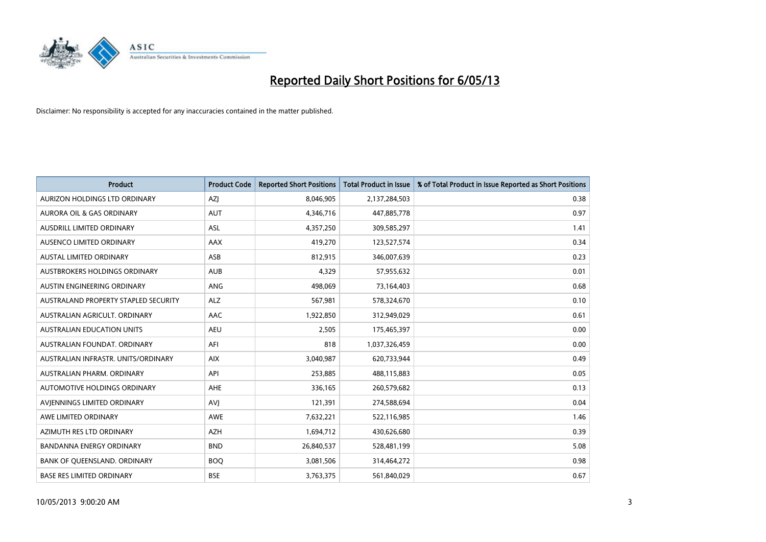

| <b>Product</b>                       | <b>Product Code</b> | <b>Reported Short Positions</b> | <b>Total Product in Issue</b> | % of Total Product in Issue Reported as Short Positions |
|--------------------------------------|---------------------|---------------------------------|-------------------------------|---------------------------------------------------------|
| AURIZON HOLDINGS LTD ORDINARY        | AZJ                 | 8,046,905                       | 2,137,284,503                 | 0.38                                                    |
| <b>AURORA OIL &amp; GAS ORDINARY</b> | <b>AUT</b>          | 4,346,716                       | 447,885,778                   | 0.97                                                    |
| AUSDRILL LIMITED ORDINARY            | ASL                 | 4,357,250                       | 309,585,297                   | 1.41                                                    |
| AUSENCO LIMITED ORDINARY             | AAX                 | 419,270                         | 123,527,574                   | 0.34                                                    |
| <b>AUSTAL LIMITED ORDINARY</b>       | ASB                 | 812,915                         | 346,007,639                   | 0.23                                                    |
| <b>AUSTBROKERS HOLDINGS ORDINARY</b> | <b>AUB</b>          | 4,329                           | 57,955,632                    | 0.01                                                    |
| AUSTIN ENGINEERING ORDINARY          | ANG                 | 498.069                         | 73,164,403                    | 0.68                                                    |
| AUSTRALAND PROPERTY STAPLED SECURITY | <b>ALZ</b>          | 567,981                         | 578,324,670                   | 0.10                                                    |
| AUSTRALIAN AGRICULT. ORDINARY        | AAC                 | 1,922,850                       | 312,949,029                   | 0.61                                                    |
| <b>AUSTRALIAN EDUCATION UNITS</b>    | <b>AEU</b>          | 2,505                           | 175,465,397                   | 0.00                                                    |
| AUSTRALIAN FOUNDAT, ORDINARY         | AFI                 | 818                             | 1,037,326,459                 | 0.00                                                    |
| AUSTRALIAN INFRASTR, UNITS/ORDINARY  | <b>AIX</b>          | 3,040,987                       | 620,733,944                   | 0.49                                                    |
| AUSTRALIAN PHARM, ORDINARY           | API                 | 253,885                         | 488,115,883                   | 0.05                                                    |
| <b>AUTOMOTIVE HOLDINGS ORDINARY</b>  | <b>AHE</b>          | 336,165                         | 260,579,682                   | 0.13                                                    |
| AVIENNINGS LIMITED ORDINARY          | <b>AVI</b>          | 121,391                         | 274,588,694                   | 0.04                                                    |
| AWE LIMITED ORDINARY                 | <b>AWE</b>          | 7,632,221                       | 522,116,985                   | 1.46                                                    |
| AZIMUTH RES LTD ORDINARY             | <b>AZH</b>          | 1,694,712                       | 430,626,680                   | 0.39                                                    |
| BANDANNA ENERGY ORDINARY             | <b>BND</b>          | 26,840,537                      | 528,481,199                   | 5.08                                                    |
| <b>BANK OF OUEENSLAND, ORDINARY</b>  | <b>BOQ</b>          | 3,081,506                       | 314,464,272                   | 0.98                                                    |
| <b>BASE RES LIMITED ORDINARY</b>     | <b>BSE</b>          | 3,763,375                       | 561,840,029                   | 0.67                                                    |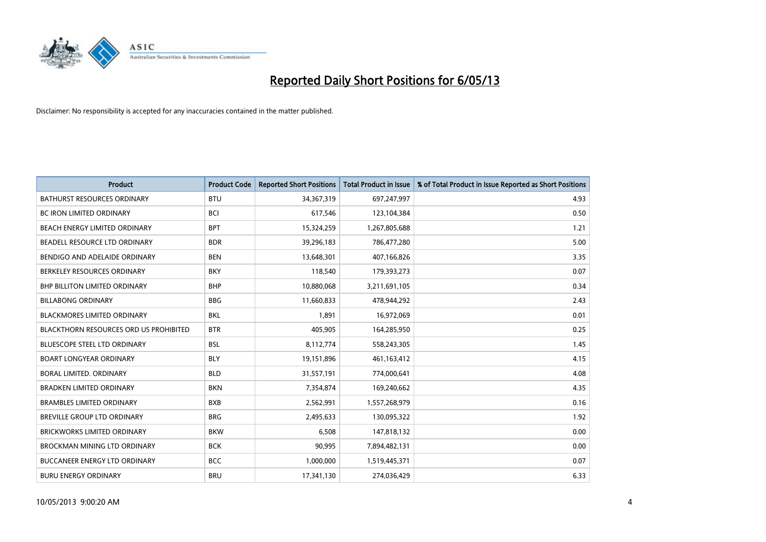

| <b>Product</b>                                | <b>Product Code</b> | <b>Reported Short Positions</b> | <b>Total Product in Issue</b> | % of Total Product in Issue Reported as Short Positions |
|-----------------------------------------------|---------------------|---------------------------------|-------------------------------|---------------------------------------------------------|
| <b>BATHURST RESOURCES ORDINARY</b>            | <b>BTU</b>          | 34,367,319                      | 697,247,997                   | 4.93                                                    |
| BC IRON LIMITED ORDINARY                      | <b>BCI</b>          | 617,546                         | 123,104,384                   | 0.50                                                    |
| BEACH ENERGY LIMITED ORDINARY                 | <b>BPT</b>          | 15,324,259                      | 1,267,805,688                 | 1.21                                                    |
| BEADELL RESOURCE LTD ORDINARY                 | <b>BDR</b>          | 39,296,183                      | 786,477,280                   | 5.00                                                    |
| BENDIGO AND ADELAIDE ORDINARY                 | <b>BEN</b>          | 13,648,301                      | 407,166,826                   | 3.35                                                    |
| BERKELEY RESOURCES ORDINARY                   | <b>BKY</b>          | 118,540                         | 179,393,273                   | 0.07                                                    |
| <b>BHP BILLITON LIMITED ORDINARY</b>          | <b>BHP</b>          | 10,880,068                      | 3,211,691,105                 | 0.34                                                    |
| <b>BILLABONG ORDINARY</b>                     | <b>BBG</b>          | 11,660,833                      | 478,944,292                   | 2.43                                                    |
| <b>BLACKMORES LIMITED ORDINARY</b>            | <b>BKL</b>          | 1,891                           | 16,972,069                    | 0.01                                                    |
| <b>BLACKTHORN RESOURCES ORD US PROHIBITED</b> | <b>BTR</b>          | 405,905                         | 164,285,950                   | 0.25                                                    |
| BLUESCOPE STEEL LTD ORDINARY                  | <b>BSL</b>          | 8,112,774                       | 558,243,305                   | 1.45                                                    |
| <b>BOART LONGYEAR ORDINARY</b>                | <b>BLY</b>          | 19,151,896                      | 461,163,412                   | 4.15                                                    |
| BORAL LIMITED. ORDINARY                       | <b>BLD</b>          | 31,557,191                      | 774,000,641                   | 4.08                                                    |
| <b>BRADKEN LIMITED ORDINARY</b>               | <b>BKN</b>          | 7,354,874                       | 169,240,662                   | 4.35                                                    |
| <b>BRAMBLES LIMITED ORDINARY</b>              | <b>BXB</b>          | 2,562,991                       | 1,557,268,979                 | 0.16                                                    |
| <b>BREVILLE GROUP LTD ORDINARY</b>            | <b>BRG</b>          | 2,495,633                       | 130,095,322                   | 1.92                                                    |
| BRICKWORKS LIMITED ORDINARY                   | <b>BKW</b>          | 6,508                           | 147,818,132                   | 0.00                                                    |
| BROCKMAN MINING LTD ORDINARY                  | <b>BCK</b>          | 90,995                          | 7,894,482,131                 | 0.00                                                    |
| <b>BUCCANEER ENERGY LTD ORDINARY</b>          | <b>BCC</b>          | 1,000,000                       | 1,519,445,371                 | 0.07                                                    |
| <b>BURU ENERGY ORDINARY</b>                   | <b>BRU</b>          | 17,341,130                      | 274,036,429                   | 6.33                                                    |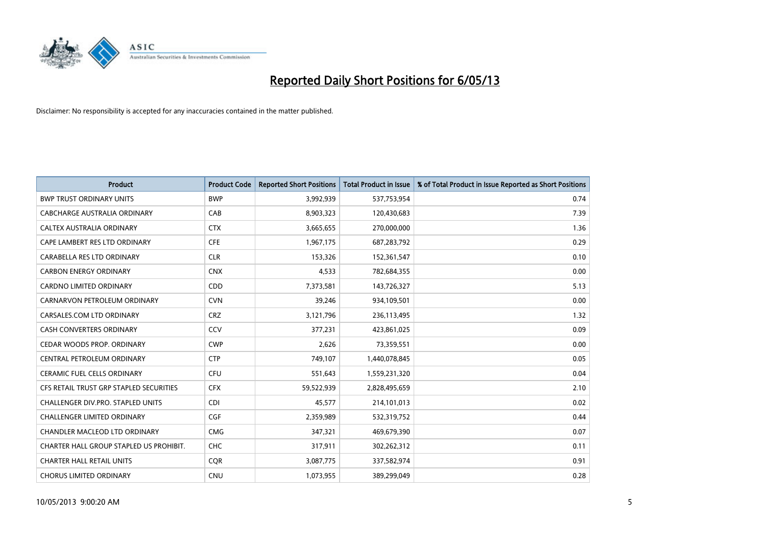

| <b>Product</b>                          | <b>Product Code</b> | <b>Reported Short Positions</b> | <b>Total Product in Issue</b> | % of Total Product in Issue Reported as Short Positions |
|-----------------------------------------|---------------------|---------------------------------|-------------------------------|---------------------------------------------------------|
| <b>BWP TRUST ORDINARY UNITS</b>         | <b>BWP</b>          | 3,992,939                       | 537,753,954                   | 0.74                                                    |
| CABCHARGE AUSTRALIA ORDINARY            | CAB                 | 8,903,323                       | 120,430,683                   | 7.39                                                    |
| <b>CALTEX AUSTRALIA ORDINARY</b>        | <b>CTX</b>          | 3,665,655                       | 270,000,000                   | 1.36                                                    |
| CAPE LAMBERT RES LTD ORDINARY           | <b>CFE</b>          | 1,967,175                       | 687,283,792                   | 0.29                                                    |
| CARABELLA RES LTD ORDINARY              | <b>CLR</b>          | 153,326                         | 152,361,547                   | 0.10                                                    |
| <b>CARBON ENERGY ORDINARY</b>           | <b>CNX</b>          | 4,533                           | 782,684,355                   | 0.00                                                    |
| <b>CARDNO LIMITED ORDINARY</b>          | CDD                 | 7,373,581                       | 143,726,327                   | 5.13                                                    |
| CARNARVON PETROLEUM ORDINARY            | <b>CVN</b>          | 39,246                          | 934,109,501                   | 0.00                                                    |
| CARSALES.COM LTD ORDINARY               | <b>CRZ</b>          | 3,121,796                       | 236,113,495                   | 1.32                                                    |
| <b>CASH CONVERTERS ORDINARY</b>         | CCV                 | 377,231                         | 423,861,025                   | 0.09                                                    |
| CEDAR WOODS PROP. ORDINARY              | <b>CWP</b>          | 2,626                           | 73,359,551                    | 0.00                                                    |
| CENTRAL PETROLEUM ORDINARY              | <b>CTP</b>          | 749,107                         | 1,440,078,845                 | 0.05                                                    |
| <b>CERAMIC FUEL CELLS ORDINARY</b>      | <b>CFU</b>          | 551,643                         | 1,559,231,320                 | 0.04                                                    |
| CFS RETAIL TRUST GRP STAPLED SECURITIES | <b>CFX</b>          | 59,522,939                      | 2,828,495,659                 | 2.10                                                    |
| CHALLENGER DIV.PRO. STAPLED UNITS       | <b>CDI</b>          | 45,577                          | 214,101,013                   | 0.02                                                    |
| CHALLENGER LIMITED ORDINARY             | <b>CGF</b>          | 2,359,989                       | 532,319,752                   | 0.44                                                    |
| CHANDLER MACLEOD LTD ORDINARY           | <b>CMG</b>          | 347,321                         | 469,679,390                   | 0.07                                                    |
| CHARTER HALL GROUP STAPLED US PROHIBIT. | <b>CHC</b>          | 317,911                         | 302,262,312                   | 0.11                                                    |
| <b>CHARTER HALL RETAIL UNITS</b>        | <b>COR</b>          | 3,087,775                       | 337,582,974                   | 0.91                                                    |
| <b>CHORUS LIMITED ORDINARY</b>          | <b>CNU</b>          | 1,073,955                       | 389,299,049                   | 0.28                                                    |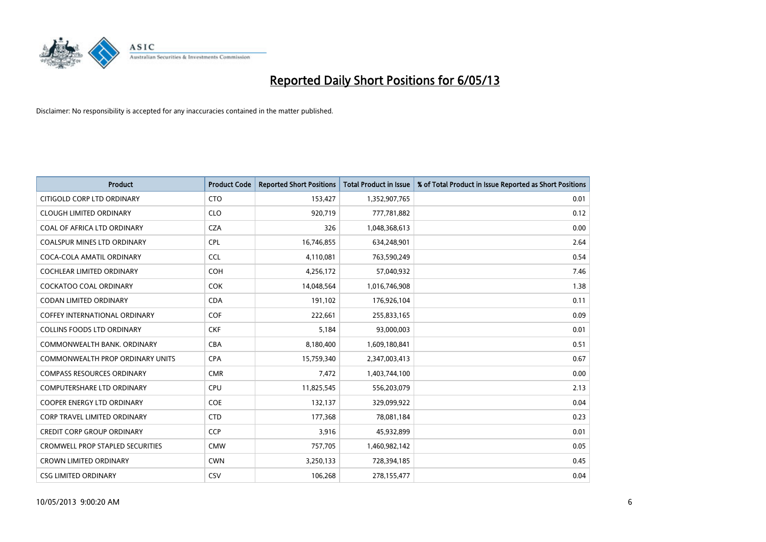

| <b>Product</b>                          | <b>Product Code</b> | <b>Reported Short Positions</b> | <b>Total Product in Issue</b> | % of Total Product in Issue Reported as Short Positions |
|-----------------------------------------|---------------------|---------------------------------|-------------------------------|---------------------------------------------------------|
| CITIGOLD CORP LTD ORDINARY              | <b>CTO</b>          | 153,427                         | 1,352,907,765                 | 0.01                                                    |
| <b>CLOUGH LIMITED ORDINARY</b>          | <b>CLO</b>          | 920,719                         | 777,781,882                   | 0.12                                                    |
| COAL OF AFRICA LTD ORDINARY             | <b>CZA</b>          | 326                             | 1,048,368,613                 | 0.00                                                    |
| COALSPUR MINES LTD ORDINARY             | <b>CPL</b>          | 16,746,855                      | 634,248,901                   | 2.64                                                    |
| COCA-COLA AMATIL ORDINARY               | <b>CCL</b>          | 4,110,081                       | 763,590,249                   | 0.54                                                    |
| <b>COCHLEAR LIMITED ORDINARY</b>        | <b>COH</b>          | 4,256,172                       | 57,040,932                    | 7.46                                                    |
| <b>COCKATOO COAL ORDINARY</b>           | <b>COK</b>          | 14,048,564                      | 1,016,746,908                 | 1.38                                                    |
| <b>CODAN LIMITED ORDINARY</b>           | <b>CDA</b>          | 191,102                         | 176,926,104                   | 0.11                                                    |
| <b>COFFEY INTERNATIONAL ORDINARY</b>    | <b>COF</b>          | 222,661                         | 255,833,165                   | 0.09                                                    |
| <b>COLLINS FOODS LTD ORDINARY</b>       | <b>CKF</b>          | 5,184                           | 93,000,003                    | 0.01                                                    |
| COMMONWEALTH BANK, ORDINARY             | <b>CBA</b>          | 8,180,400                       | 1,609,180,841                 | 0.51                                                    |
| COMMONWEALTH PROP ORDINARY UNITS        | <b>CPA</b>          | 15,759,340                      | 2,347,003,413                 | 0.67                                                    |
| <b>COMPASS RESOURCES ORDINARY</b>       | <b>CMR</b>          | 7,472                           | 1,403,744,100                 | 0.00                                                    |
| <b>COMPUTERSHARE LTD ORDINARY</b>       | <b>CPU</b>          | 11,825,545                      | 556,203,079                   | 2.13                                                    |
| <b>COOPER ENERGY LTD ORDINARY</b>       | <b>COE</b>          | 132,137                         | 329,099,922                   | 0.04                                                    |
| <b>CORP TRAVEL LIMITED ORDINARY</b>     | <b>CTD</b>          | 177,368                         | 78,081,184                    | 0.23                                                    |
| <b>CREDIT CORP GROUP ORDINARY</b>       | <b>CCP</b>          | 3,916                           | 45,932,899                    | 0.01                                                    |
| <b>CROMWELL PROP STAPLED SECURITIES</b> | <b>CMW</b>          | 757,705                         | 1,460,982,142                 | 0.05                                                    |
| <b>CROWN LIMITED ORDINARY</b>           | <b>CWN</b>          | 3,250,133                       | 728,394,185                   | 0.45                                                    |
| <b>CSG LIMITED ORDINARY</b>             | <b>CSV</b>          | 106,268                         | 278,155,477                   | 0.04                                                    |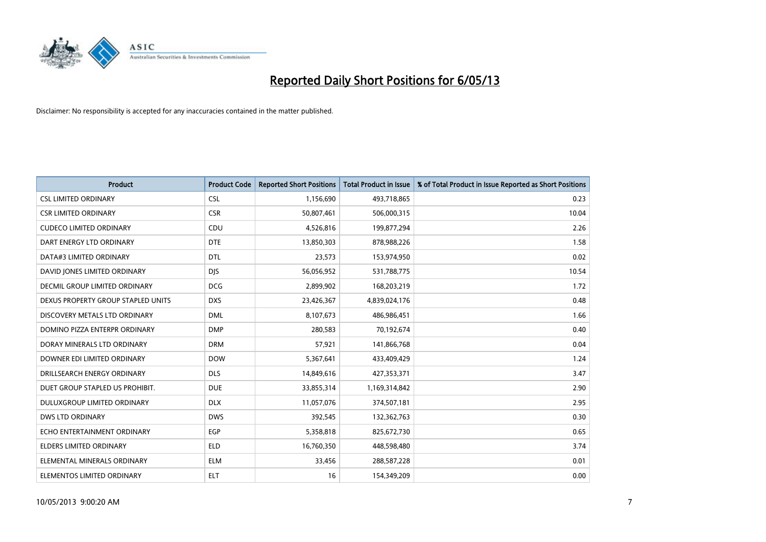

| <b>Product</b>                       | <b>Product Code</b> | <b>Reported Short Positions</b> | <b>Total Product in Issue</b> | % of Total Product in Issue Reported as Short Positions |
|--------------------------------------|---------------------|---------------------------------|-------------------------------|---------------------------------------------------------|
| <b>CSL LIMITED ORDINARY</b>          | <b>CSL</b>          | 1,156,690                       | 493,718,865                   | 0.23                                                    |
| <b>CSR LIMITED ORDINARY</b>          | <b>CSR</b>          | 50,807,461                      | 506,000,315                   | 10.04                                                   |
| <b>CUDECO LIMITED ORDINARY</b>       | CDU                 | 4,526,816                       | 199,877,294                   | 2.26                                                    |
| DART ENERGY LTD ORDINARY             | <b>DTE</b>          | 13,850,303                      | 878,988,226                   | 1.58                                                    |
| DATA#3 LIMITED ORDINARY              | <b>DTL</b>          | 23,573                          | 153,974,950                   | 0.02                                                    |
| DAVID JONES LIMITED ORDINARY         | <b>DJS</b>          | 56,056,952                      | 531,788,775                   | 10.54                                                   |
| <b>DECMIL GROUP LIMITED ORDINARY</b> | <b>DCG</b>          | 2,899,902                       | 168,203,219                   | 1.72                                                    |
| DEXUS PROPERTY GROUP STAPLED UNITS   | <b>DXS</b>          | 23,426,367                      | 4,839,024,176                 | 0.48                                                    |
| DISCOVERY METALS LTD ORDINARY        | <b>DML</b>          | 8,107,673                       | 486,986,451                   | 1.66                                                    |
| DOMINO PIZZA ENTERPR ORDINARY        | <b>DMP</b>          | 280,583                         | 70,192,674                    | 0.40                                                    |
| DORAY MINERALS LTD ORDINARY          | <b>DRM</b>          | 57,921                          | 141,866,768                   | 0.04                                                    |
| DOWNER EDI LIMITED ORDINARY          | <b>DOW</b>          | 5,367,641                       | 433,409,429                   | 1.24                                                    |
| DRILLSEARCH ENERGY ORDINARY          | <b>DLS</b>          | 14,849,616                      | 427,353,371                   | 3.47                                                    |
| DUET GROUP STAPLED US PROHIBIT.      | <b>DUE</b>          | 33,855,314                      | 1,169,314,842                 | 2.90                                                    |
| DULUXGROUP LIMITED ORDINARY          | <b>DLX</b>          | 11,057,076                      | 374,507,181                   | 2.95                                                    |
| <b>DWS LTD ORDINARY</b>              | <b>DWS</b>          | 392,545                         | 132,362,763                   | 0.30                                                    |
| ECHO ENTERTAINMENT ORDINARY          | EGP                 | 5,358,818                       | 825,672,730                   | 0.65                                                    |
| ELDERS LIMITED ORDINARY              | <b>ELD</b>          | 16,760,350                      | 448,598,480                   | 3.74                                                    |
| ELEMENTAL MINERALS ORDINARY          | <b>ELM</b>          | 33,456                          | 288,587,228                   | 0.01                                                    |
| ELEMENTOS LIMITED ORDINARY           | <b>ELT</b>          | 16                              | 154,349,209                   | 0.00                                                    |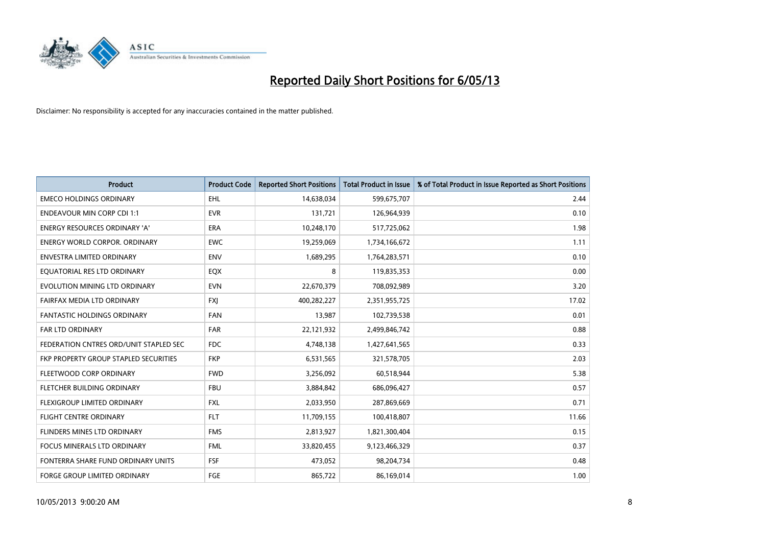

| <b>Product</b>                         | <b>Product Code</b> | <b>Reported Short Positions</b> | <b>Total Product in Issue</b> | % of Total Product in Issue Reported as Short Positions |
|----------------------------------------|---------------------|---------------------------------|-------------------------------|---------------------------------------------------------|
| <b>EMECO HOLDINGS ORDINARY</b>         | <b>EHL</b>          | 14,638,034                      | 599,675,707                   | 2.44                                                    |
| <b>ENDEAVOUR MIN CORP CDI 1:1</b>      | <b>EVR</b>          | 131,721                         | 126,964,939                   | 0.10                                                    |
| <b>ENERGY RESOURCES ORDINARY 'A'</b>   | <b>ERA</b>          | 10,248,170                      | 517,725,062                   | 1.98                                                    |
| ENERGY WORLD CORPOR. ORDINARY          | <b>EWC</b>          | 19,259,069                      | 1,734,166,672                 | 1.11                                                    |
| <b>ENVESTRA LIMITED ORDINARY</b>       | <b>ENV</b>          | 1,689,295                       | 1,764,283,571                 | 0.10                                                    |
| EQUATORIAL RES LTD ORDINARY            | EQX                 | 8                               | 119,835,353                   | 0.00                                                    |
| EVOLUTION MINING LTD ORDINARY          | <b>EVN</b>          | 22,670,379                      | 708,092,989                   | 3.20                                                    |
| FAIRFAX MEDIA LTD ORDINARY             | <b>FXI</b>          | 400,282,227                     | 2,351,955,725                 | 17.02                                                   |
| <b>FANTASTIC HOLDINGS ORDINARY</b>     | <b>FAN</b>          | 13,987                          | 102,739,538                   | 0.01                                                    |
| <b>FAR LTD ORDINARY</b>                | <b>FAR</b>          | 22,121,932                      | 2,499,846,742                 | 0.88                                                    |
| FEDERATION CNTRES ORD/UNIT STAPLED SEC | <b>FDC</b>          | 4,748,138                       | 1,427,641,565                 | 0.33                                                    |
| FKP PROPERTY GROUP STAPLED SECURITIES  | <b>FKP</b>          | 6,531,565                       | 321,578,705                   | 2.03                                                    |
| FLEETWOOD CORP ORDINARY                | <b>FWD</b>          | 3,256,092                       | 60,518,944                    | 5.38                                                    |
| FLETCHER BUILDING ORDINARY             | <b>FBU</b>          | 3,884,842                       | 686,096,427                   | 0.57                                                    |
| FLEXIGROUP LIMITED ORDINARY            | <b>FXL</b>          | 2,033,950                       | 287,869,669                   | 0.71                                                    |
| FLIGHT CENTRE ORDINARY                 | <b>FLT</b>          | 11,709,155                      | 100,418,807                   | 11.66                                                   |
| FLINDERS MINES LTD ORDINARY            | <b>FMS</b>          | 2,813,927                       | 1,821,300,404                 | 0.15                                                    |
| FOCUS MINERALS LTD ORDINARY            | <b>FML</b>          | 33,820,455                      | 9,123,466,329                 | 0.37                                                    |
| FONTERRA SHARE FUND ORDINARY UNITS     | <b>FSF</b>          | 473,052                         | 98,204,734                    | 0.48                                                    |
| <b>FORGE GROUP LIMITED ORDINARY</b>    | FGE                 | 865,722                         | 86,169,014                    | 1.00                                                    |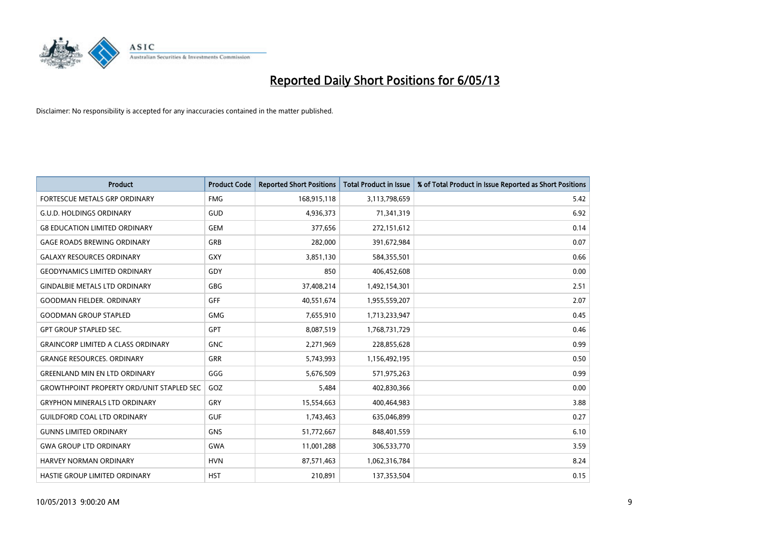

| <b>Product</b>                                   | <b>Product Code</b> | <b>Reported Short Positions</b> | <b>Total Product in Issue</b> | % of Total Product in Issue Reported as Short Positions |
|--------------------------------------------------|---------------------|---------------------------------|-------------------------------|---------------------------------------------------------|
| <b>FORTESCUE METALS GRP ORDINARY</b>             | <b>FMG</b>          | 168,915,118                     | 3,113,798,659                 | 5.42                                                    |
| <b>G.U.D. HOLDINGS ORDINARY</b>                  | GUD                 | 4,936,373                       | 71,341,319                    | 6.92                                                    |
| <b>G8 EDUCATION LIMITED ORDINARY</b>             | <b>GEM</b>          | 377,656                         | 272,151,612                   | 0.14                                                    |
| <b>GAGE ROADS BREWING ORDINARY</b>               | GRB                 | 282,000                         | 391,672,984                   | 0.07                                                    |
| <b>GALAXY RESOURCES ORDINARY</b>                 | GXY                 | 3,851,130                       | 584,355,501                   | 0.66                                                    |
| <b>GEODYNAMICS LIMITED ORDINARY</b>              | GDY                 | 850                             | 406,452,608                   | 0.00                                                    |
| <b>GINDALBIE METALS LTD ORDINARY</b>             | GBG                 | 37,408,214                      | 1,492,154,301                 | 2.51                                                    |
| <b>GOODMAN FIELDER, ORDINARY</b>                 | <b>GFF</b>          | 40,551,674                      | 1,955,559,207                 | 2.07                                                    |
| <b>GOODMAN GROUP STAPLED</b>                     | <b>GMG</b>          | 7,655,910                       | 1,713,233,947                 | 0.45                                                    |
| <b>GPT GROUP STAPLED SEC.</b>                    | GPT                 | 8,087,519                       | 1,768,731,729                 | 0.46                                                    |
| <b>GRAINCORP LIMITED A CLASS ORDINARY</b>        | <b>GNC</b>          | 2,271,969                       | 228,855,628                   | 0.99                                                    |
| <b>GRANGE RESOURCES. ORDINARY</b>                | GRR                 | 5,743,993                       | 1,156,492,195                 | 0.50                                                    |
| <b>GREENLAND MIN EN LTD ORDINARY</b>             | GGG                 | 5,676,509                       | 571,975,263                   | 0.99                                                    |
| <b>GROWTHPOINT PROPERTY ORD/UNIT STAPLED SEC</b> | GOZ                 | 5,484                           | 402,830,366                   | 0.00                                                    |
| <b>GRYPHON MINERALS LTD ORDINARY</b>             | GRY                 | 15,554,663                      | 400,464,983                   | 3.88                                                    |
| <b>GUILDFORD COAL LTD ORDINARY</b>               | <b>GUF</b>          | 1,743,463                       | 635,046,899                   | 0.27                                                    |
| <b>GUNNS LIMITED ORDINARY</b>                    | <b>GNS</b>          | 51,772,667                      | 848,401,559                   | 6.10                                                    |
| <b>GWA GROUP LTD ORDINARY</b>                    | <b>GWA</b>          | 11,001,288                      | 306,533,770                   | 3.59                                                    |
| <b>HARVEY NORMAN ORDINARY</b>                    | <b>HVN</b>          | 87,571,463                      | 1,062,316,784                 | 8.24                                                    |
| HASTIE GROUP LIMITED ORDINARY                    | <b>HST</b>          | 210,891                         | 137,353,504                   | 0.15                                                    |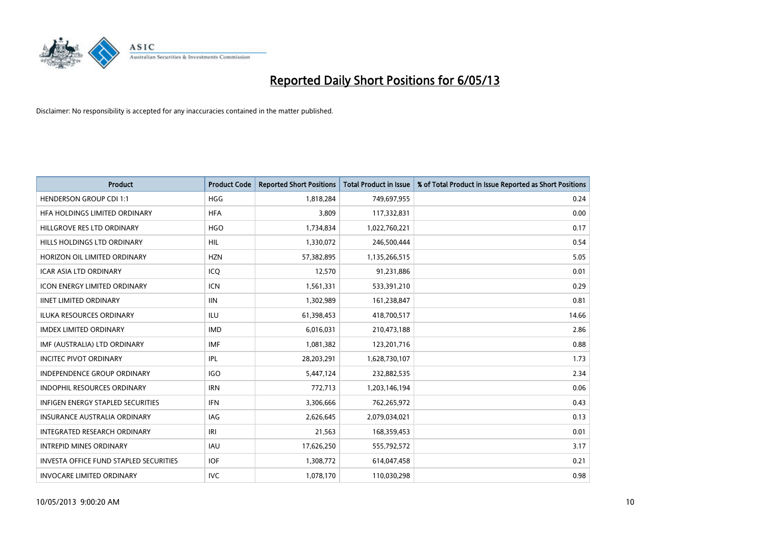

| <b>Product</b>                                | <b>Product Code</b> | <b>Reported Short Positions</b> | <b>Total Product in Issue</b> | % of Total Product in Issue Reported as Short Positions |
|-----------------------------------------------|---------------------|---------------------------------|-------------------------------|---------------------------------------------------------|
| <b>HENDERSON GROUP CDI 1:1</b>                | <b>HGG</b>          | 1,818,284                       | 749,697,955                   | 0.24                                                    |
| HFA HOLDINGS LIMITED ORDINARY                 | <b>HFA</b>          | 3,809                           | 117,332,831                   | 0.00                                                    |
| HILLGROVE RES LTD ORDINARY                    | <b>HGO</b>          | 1,734,834                       | 1,022,760,221                 | 0.17                                                    |
| HILLS HOLDINGS LTD ORDINARY                   | <b>HIL</b>          | 1,330,072                       | 246,500,444                   | 0.54                                                    |
| HORIZON OIL LIMITED ORDINARY                  | <b>HZN</b>          | 57,382,895                      | 1,135,266,515                 | 5.05                                                    |
| <b>ICAR ASIA LTD ORDINARY</b>                 | ICQ                 | 12,570                          | 91,231,886                    | 0.01                                                    |
| <b>ICON ENERGY LIMITED ORDINARY</b>           | <b>ICN</b>          | 1,561,331                       | 533,391,210                   | 0.29                                                    |
| <b>IINET LIMITED ORDINARY</b>                 | <b>IIN</b>          | 1,302,989                       | 161,238,847                   | 0.81                                                    |
| <b>ILUKA RESOURCES ORDINARY</b>               | <b>ILU</b>          | 61,398,453                      | 418,700,517                   | 14.66                                                   |
| <b>IMDEX LIMITED ORDINARY</b>                 | <b>IMD</b>          | 6,016,031                       | 210,473,188                   | 2.86                                                    |
| IMF (AUSTRALIA) LTD ORDINARY                  | <b>IMF</b>          | 1,081,382                       | 123,201,716                   | 0.88                                                    |
| <b>INCITEC PIVOT ORDINARY</b>                 | <b>IPL</b>          | 28,203,291                      | 1,628,730,107                 | 1.73                                                    |
| INDEPENDENCE GROUP ORDINARY                   | <b>IGO</b>          | 5,447,124                       | 232,882,535                   | 2.34                                                    |
| <b>INDOPHIL RESOURCES ORDINARY</b>            | <b>IRN</b>          | 772,713                         | 1,203,146,194                 | 0.06                                                    |
| <b>INFIGEN ENERGY STAPLED SECURITIES</b>      | <b>IFN</b>          | 3,306,666                       | 762,265,972                   | 0.43                                                    |
| INSURANCE AUSTRALIA ORDINARY                  | IAG                 | 2,626,645                       | 2,079,034,021                 | 0.13                                                    |
| INTEGRATED RESEARCH ORDINARY                  | IRI                 | 21,563                          | 168,359,453                   | 0.01                                                    |
| <b>INTREPID MINES ORDINARY</b>                | <b>IAU</b>          | 17,626,250                      | 555,792,572                   | 3.17                                                    |
| <b>INVESTA OFFICE FUND STAPLED SECURITIES</b> | <b>IOF</b>          | 1,308,772                       | 614,047,458                   | 0.21                                                    |
| <b>INVOCARE LIMITED ORDINARY</b>              | <b>IVC</b>          | 1,078,170                       | 110,030,298                   | 0.98                                                    |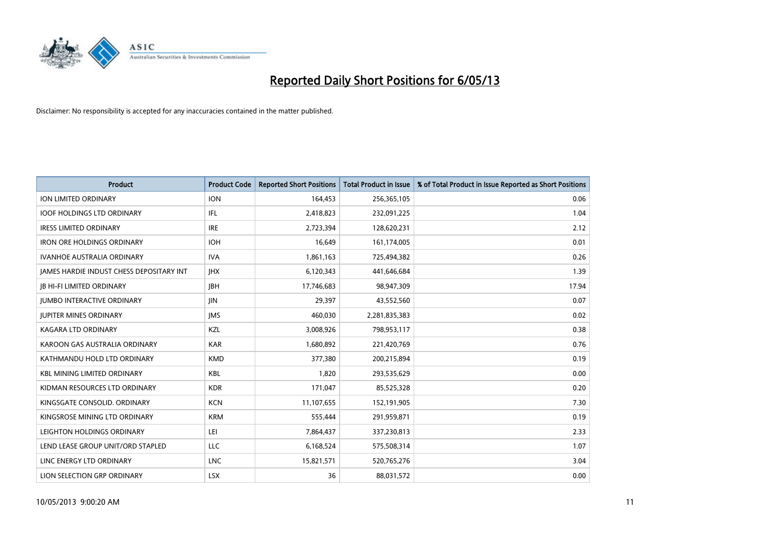

| <b>Product</b>                           | <b>Product Code</b> | <b>Reported Short Positions</b> | <b>Total Product in Issue</b> | % of Total Product in Issue Reported as Short Positions |
|------------------------------------------|---------------------|---------------------------------|-------------------------------|---------------------------------------------------------|
| ION LIMITED ORDINARY                     | <b>ION</b>          | 164,453                         | 256,365,105                   | 0.06                                                    |
| <b>IOOF HOLDINGS LTD ORDINARY</b>        | IFL                 | 2,418,823                       | 232,091,225                   | 1.04                                                    |
| <b>IRESS LIMITED ORDINARY</b>            | <b>IRE</b>          | 2,723,394                       | 128,620,231                   | 2.12                                                    |
| <b>IRON ORE HOLDINGS ORDINARY</b>        | <b>IOH</b>          | 16,649                          | 161,174,005                   | 0.01                                                    |
| <b>IVANHOE AUSTRALIA ORDINARY</b>        | <b>IVA</b>          | 1,861,163                       | 725,494,382                   | 0.26                                                    |
| JAMES HARDIE INDUST CHESS DEPOSITARY INT | <b>IHX</b>          | 6,120,343                       | 441,646,684                   | 1.39                                                    |
| <b>JB HI-FI LIMITED ORDINARY</b>         | <b>JBH</b>          | 17,746,683                      | 98,947,309                    | 17.94                                                   |
| <b>JUMBO INTERACTIVE ORDINARY</b>        | <b>JIN</b>          | 29,397                          | 43,552,560                    | 0.07                                                    |
| <b>JUPITER MINES ORDINARY</b>            | <b>IMS</b>          | 460,030                         | 2,281,835,383                 | 0.02                                                    |
| <b>KAGARA LTD ORDINARY</b>               | KZL                 | 3,008,926                       | 798,953,117                   | 0.38                                                    |
| KAROON GAS AUSTRALIA ORDINARY            | <b>KAR</b>          | 1,680,892                       | 221,420,769                   | 0.76                                                    |
| KATHMANDU HOLD LTD ORDINARY              | <b>KMD</b>          | 377,380                         | 200,215,894                   | 0.19                                                    |
| <b>KBL MINING LIMITED ORDINARY</b>       | <b>KBL</b>          | 1,820                           | 293,535,629                   | 0.00                                                    |
| KIDMAN RESOURCES LTD ORDINARY            | <b>KDR</b>          | 171,047                         | 85,525,328                    | 0.20                                                    |
| KINGSGATE CONSOLID. ORDINARY             | <b>KCN</b>          | 11,107,655                      | 152,191,905                   | 7.30                                                    |
| KINGSROSE MINING LTD ORDINARY            | <b>KRM</b>          | 555,444                         | 291,959,871                   | 0.19                                                    |
| LEIGHTON HOLDINGS ORDINARY               | LEI                 | 7,864,437                       | 337,230,813                   | 2.33                                                    |
| LEND LEASE GROUP UNIT/ORD STAPLED        | <b>LLC</b>          | 6,168,524                       | 575,508,314                   | 1.07                                                    |
| LINC ENERGY LTD ORDINARY                 | <b>LNC</b>          | 15,821,571                      | 520,765,276                   | 3.04                                                    |
| LION SELECTION GRP ORDINARY              | <b>LSX</b>          | 36                              | 88,031,572                    | 0.00                                                    |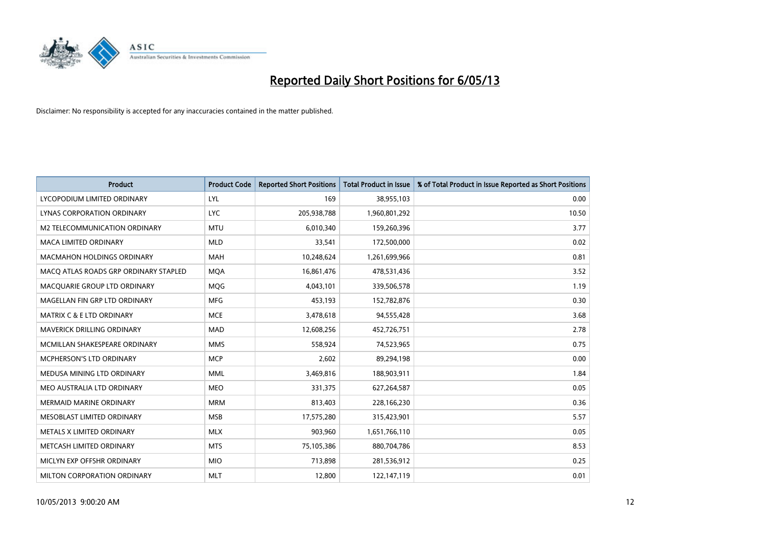

| <b>Product</b>                        | <b>Product Code</b> | <b>Reported Short Positions</b> | <b>Total Product in Issue</b> | % of Total Product in Issue Reported as Short Positions |
|---------------------------------------|---------------------|---------------------------------|-------------------------------|---------------------------------------------------------|
| LYCOPODIUM LIMITED ORDINARY           | LYL                 | 169                             | 38,955,103                    | 0.00                                                    |
| LYNAS CORPORATION ORDINARY            | <b>LYC</b>          | 205,938,788                     | 1,960,801,292                 | 10.50                                                   |
| <b>M2 TELECOMMUNICATION ORDINARY</b>  | <b>MTU</b>          | 6,010,340                       | 159,260,396                   | 3.77                                                    |
| MACA LIMITED ORDINARY                 | <b>MLD</b>          | 33,541                          | 172,500,000                   | 0.02                                                    |
| <b>MACMAHON HOLDINGS ORDINARY</b>     | MAH                 | 10,248,624                      | 1,261,699,966                 | 0.81                                                    |
| MACO ATLAS ROADS GRP ORDINARY STAPLED | <b>MQA</b>          | 16,861,476                      | 478,531,436                   | 3.52                                                    |
| MACQUARIE GROUP LTD ORDINARY          | <b>MOG</b>          | 4,043,101                       | 339,506,578                   | 1.19                                                    |
| MAGELLAN FIN GRP LTD ORDINARY         | <b>MFG</b>          | 453,193                         | 152,782,876                   | 0.30                                                    |
| <b>MATRIX C &amp; E LTD ORDINARY</b>  | <b>MCE</b>          | 3,478,618                       | 94,555,428                    | 3.68                                                    |
| MAVERICK DRILLING ORDINARY            | <b>MAD</b>          | 12,608,256                      | 452,726,751                   | 2.78                                                    |
| MCMILLAN SHAKESPEARE ORDINARY         | <b>MMS</b>          | 558,924                         | 74,523,965                    | 0.75                                                    |
| MCPHERSON'S LTD ORDINARY              | <b>MCP</b>          | 2,602                           | 89,294,198                    | 0.00                                                    |
| MEDUSA MINING LTD ORDINARY            | <b>MML</b>          | 3,469,816                       | 188,903,911                   | 1.84                                                    |
| MEO AUSTRALIA LTD ORDINARY            | <b>MEO</b>          | 331,375                         | 627,264,587                   | 0.05                                                    |
| <b>MERMAID MARINE ORDINARY</b>        | <b>MRM</b>          | 813,403                         | 228,166,230                   | 0.36                                                    |
| MESOBLAST LIMITED ORDINARY            | <b>MSB</b>          | 17,575,280                      | 315,423,901                   | 5.57                                                    |
| METALS X LIMITED ORDINARY             | <b>MLX</b>          | 903,960                         | 1,651,766,110                 | 0.05                                                    |
| METCASH LIMITED ORDINARY              | <b>MTS</b>          | 75,105,386                      | 880,704,786                   | 8.53                                                    |
| MICLYN EXP OFFSHR ORDINARY            | <b>MIO</b>          | 713,898                         | 281,536,912                   | 0.25                                                    |
| MILTON CORPORATION ORDINARY           | <b>MLT</b>          | 12,800                          | 122,147,119                   | 0.01                                                    |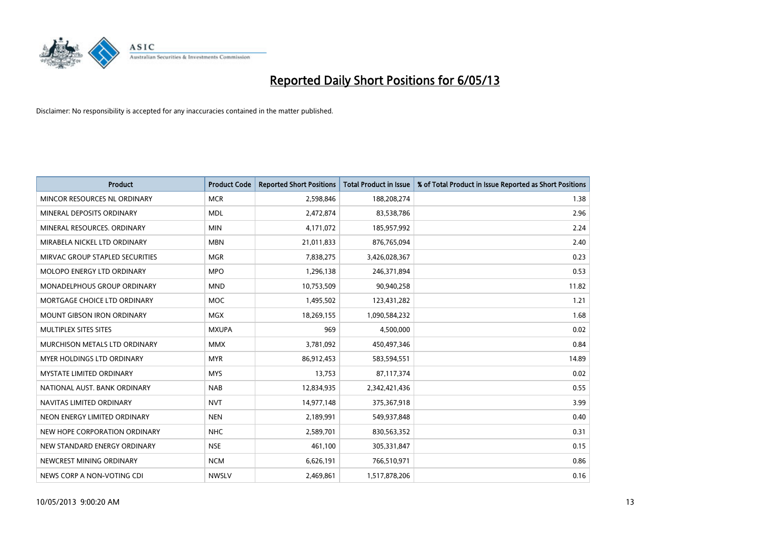

| <b>Product</b>                    | <b>Product Code</b> | <b>Reported Short Positions</b> | <b>Total Product in Issue</b> | % of Total Product in Issue Reported as Short Positions |
|-----------------------------------|---------------------|---------------------------------|-------------------------------|---------------------------------------------------------|
| MINCOR RESOURCES NL ORDINARY      | <b>MCR</b>          | 2,598,846                       | 188,208,274                   | 1.38                                                    |
| MINERAL DEPOSITS ORDINARY         | <b>MDL</b>          | 2,472,874                       | 83,538,786                    | 2.96                                                    |
| MINERAL RESOURCES, ORDINARY       | <b>MIN</b>          | 4,171,072                       | 185,957,992                   | 2.24                                                    |
| MIRABELA NICKEL LTD ORDINARY      | <b>MBN</b>          | 21,011,833                      | 876,765,094                   | 2.40                                                    |
| MIRVAC GROUP STAPLED SECURITIES   | <b>MGR</b>          | 7,838,275                       | 3,426,028,367                 | 0.23                                                    |
| MOLOPO ENERGY LTD ORDINARY        | <b>MPO</b>          | 1,296,138                       | 246,371,894                   | 0.53                                                    |
| MONADELPHOUS GROUP ORDINARY       | <b>MND</b>          | 10,753,509                      | 90,940,258                    | 11.82                                                   |
| MORTGAGE CHOICE LTD ORDINARY      | MOC                 | 1,495,502                       | 123,431,282                   | 1.21                                                    |
| <b>MOUNT GIBSON IRON ORDINARY</b> | <b>MGX</b>          | 18,269,155                      | 1,090,584,232                 | 1.68                                                    |
| MULTIPLEX SITES SITES             | <b>MXUPA</b>        | 969                             | 4,500,000                     | 0.02                                                    |
| MURCHISON METALS LTD ORDINARY     | <b>MMX</b>          | 3,781,092                       | 450,497,346                   | 0.84                                                    |
| <b>MYER HOLDINGS LTD ORDINARY</b> | <b>MYR</b>          | 86,912,453                      | 583,594,551                   | 14.89                                                   |
| <b>MYSTATE LIMITED ORDINARY</b>   | <b>MYS</b>          | 13,753                          | 87,117,374                    | 0.02                                                    |
| NATIONAL AUST, BANK ORDINARY      | <b>NAB</b>          | 12,834,935                      | 2,342,421,436                 | 0.55                                                    |
| NAVITAS LIMITED ORDINARY          | <b>NVT</b>          | 14,977,148                      | 375,367,918                   | 3.99                                                    |
| NEON ENERGY LIMITED ORDINARY      | <b>NEN</b>          | 2,189,991                       | 549,937,848                   | 0.40                                                    |
| NEW HOPE CORPORATION ORDINARY     | <b>NHC</b>          | 2,589,701                       | 830,563,352                   | 0.31                                                    |
| NEW STANDARD ENERGY ORDINARY      | <b>NSE</b>          | 461,100                         | 305,331,847                   | 0.15                                                    |
| NEWCREST MINING ORDINARY          | <b>NCM</b>          | 6,626,191                       | 766,510,971                   | 0.86                                                    |
| NEWS CORP A NON-VOTING CDI        | <b>NWSLV</b>        | 2,469,861                       | 1,517,878,206                 | 0.16                                                    |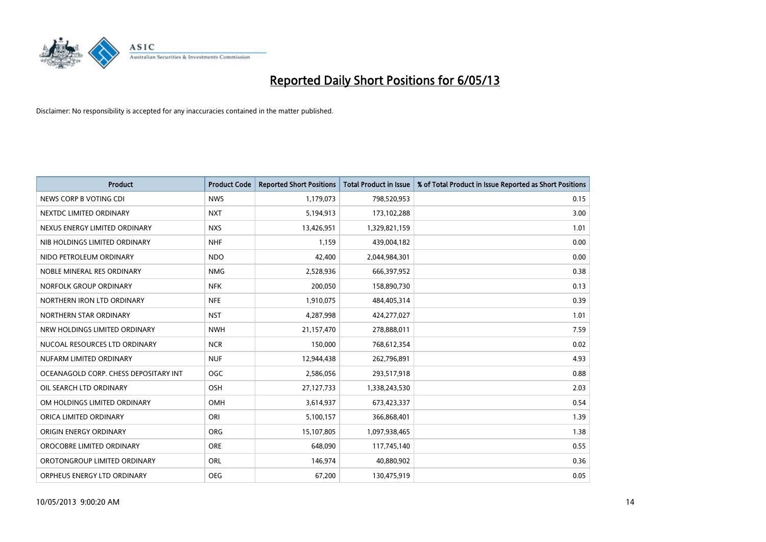

| <b>Product</b>                        | <b>Product Code</b> | <b>Reported Short Positions</b> | <b>Total Product in Issue</b> | % of Total Product in Issue Reported as Short Positions |
|---------------------------------------|---------------------|---------------------------------|-------------------------------|---------------------------------------------------------|
| NEWS CORP B VOTING CDI                | <b>NWS</b>          | 1,179,073                       | 798,520,953                   | 0.15                                                    |
| NEXTDC LIMITED ORDINARY               | <b>NXT</b>          | 5,194,913                       | 173,102,288                   | 3.00                                                    |
| NEXUS ENERGY LIMITED ORDINARY         | <b>NXS</b>          | 13,426,951                      | 1,329,821,159                 | 1.01                                                    |
| NIB HOLDINGS LIMITED ORDINARY         | <b>NHF</b>          | 1,159                           | 439,004,182                   | 0.00                                                    |
| NIDO PETROLEUM ORDINARY               | <b>NDO</b>          | 42,400                          | 2,044,984,301                 | 0.00                                                    |
| NOBLE MINERAL RES ORDINARY            | <b>NMG</b>          | 2,528,936                       | 666,397,952                   | 0.38                                                    |
| NORFOLK GROUP ORDINARY                | <b>NFK</b>          | 200,050                         | 158,890,730                   | 0.13                                                    |
| NORTHERN IRON LTD ORDINARY            | <b>NFE</b>          | 1,910,075                       | 484,405,314                   | 0.39                                                    |
| NORTHERN STAR ORDINARY                | <b>NST</b>          | 4,287,998                       | 424,277,027                   | 1.01                                                    |
| NRW HOLDINGS LIMITED ORDINARY         | <b>NWH</b>          | 21,157,470                      | 278,888,011                   | 7.59                                                    |
| NUCOAL RESOURCES LTD ORDINARY         | <b>NCR</b>          | 150,000                         | 768,612,354                   | 0.02                                                    |
| NUFARM LIMITED ORDINARY               | <b>NUF</b>          | 12,944,438                      | 262,796,891                   | 4.93                                                    |
| OCEANAGOLD CORP. CHESS DEPOSITARY INT | <b>OGC</b>          | 2,586,056                       | 293,517,918                   | 0.88                                                    |
| OIL SEARCH LTD ORDINARY               | OSH                 | 27,127,733                      | 1,338,243,530                 | 2.03                                                    |
| OM HOLDINGS LIMITED ORDINARY          | OMH                 | 3,614,937                       | 673,423,337                   | 0.54                                                    |
| ORICA LIMITED ORDINARY                | ORI                 | 5,100,157                       | 366,868,401                   | 1.39                                                    |
| ORIGIN ENERGY ORDINARY                | <b>ORG</b>          | 15,107,805                      | 1,097,938,465                 | 1.38                                                    |
| OROCOBRE LIMITED ORDINARY             | <b>ORE</b>          | 648,090                         | 117,745,140                   | 0.55                                                    |
| OROTONGROUP LIMITED ORDINARY          | ORL                 | 146,974                         | 40,880,902                    | 0.36                                                    |
| ORPHEUS ENERGY LTD ORDINARY           | <b>OEG</b>          | 67,200                          | 130,475,919                   | 0.05                                                    |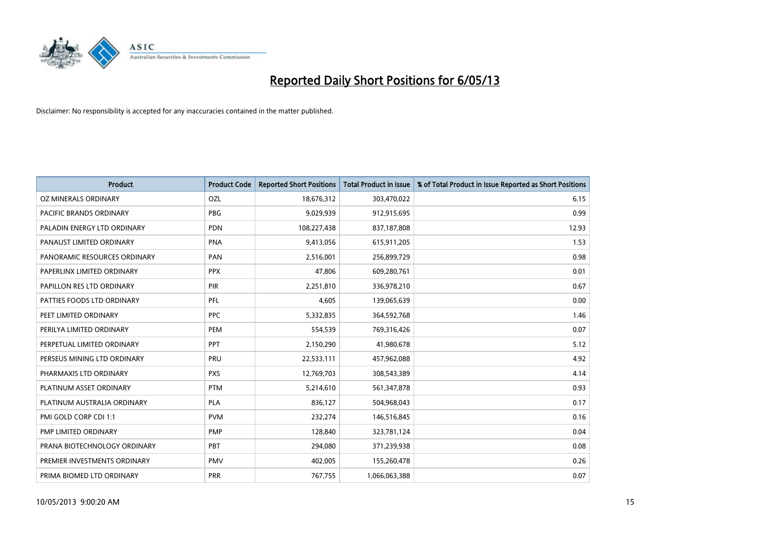

| <b>Product</b>               | <b>Product Code</b> | <b>Reported Short Positions</b> | <b>Total Product in Issue</b> | % of Total Product in Issue Reported as Short Positions |
|------------------------------|---------------------|---------------------------------|-------------------------------|---------------------------------------------------------|
| OZ MINERALS ORDINARY         | OZL                 | 18,676,312                      | 303,470,022                   | 6.15                                                    |
| PACIFIC BRANDS ORDINARY      | <b>PBG</b>          | 9,029,939                       | 912,915,695                   | 0.99                                                    |
| PALADIN ENERGY LTD ORDINARY  | <b>PDN</b>          | 108,227,438                     | 837,187,808                   | 12.93                                                   |
| PANAUST LIMITED ORDINARY     | <b>PNA</b>          | 9,413,056                       | 615,911,205                   | 1.53                                                    |
| PANORAMIC RESOURCES ORDINARY | PAN                 | 2,516,001                       | 256,899,729                   | 0.98                                                    |
| PAPERLINX LIMITED ORDINARY   | <b>PPX</b>          | 47,806                          | 609,280,761                   | 0.01                                                    |
| PAPILLON RES LTD ORDINARY    | <b>PIR</b>          | 2,251,810                       | 336,978,210                   | 0.67                                                    |
| PATTIES FOODS LTD ORDINARY   | PFL                 | 4,605                           | 139,065,639                   | 0.00                                                    |
| PEET LIMITED ORDINARY        | <b>PPC</b>          | 5,332,835                       | 364,592,768                   | 1.46                                                    |
| PERILYA LIMITED ORDINARY     | <b>PEM</b>          | 554,539                         | 769,316,426                   | 0.07                                                    |
| PERPETUAL LIMITED ORDINARY   | PPT                 | 2,150,290                       | 41,980,678                    | 5.12                                                    |
| PERSEUS MINING LTD ORDINARY  | PRU                 | 22,533,111                      | 457,962,088                   | 4.92                                                    |
| PHARMAXIS LTD ORDINARY       | <b>PXS</b>          | 12,769,703                      | 308,543,389                   | 4.14                                                    |
| PLATINUM ASSET ORDINARY      | <b>PTM</b>          | 5,214,610                       | 561,347,878                   | 0.93                                                    |
| PLATINUM AUSTRALIA ORDINARY  | <b>PLA</b>          | 836,127                         | 504,968,043                   | 0.17                                                    |
| PMI GOLD CORP CDI 1:1        | <b>PVM</b>          | 232,274                         | 146,516,845                   | 0.16                                                    |
| PMP LIMITED ORDINARY         | <b>PMP</b>          | 128,840                         | 323,781,124                   | 0.04                                                    |
| PRANA BIOTECHNOLOGY ORDINARY | PBT                 | 294,080                         | 371,239,938                   | 0.08                                                    |
| PREMIER INVESTMENTS ORDINARY | <b>PMV</b>          | 402,005                         | 155,260,478                   | 0.26                                                    |
| PRIMA BIOMED LTD ORDINARY    | <b>PRR</b>          | 767,755                         | 1,066,063,388                 | 0.07                                                    |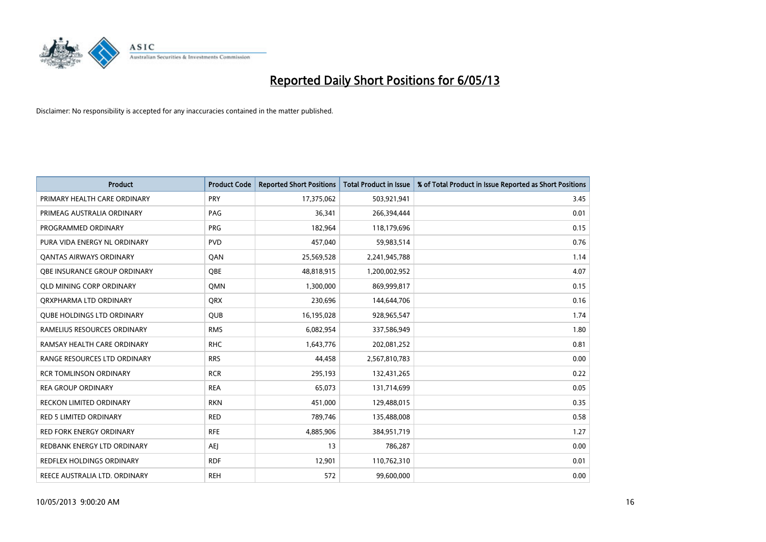

| <b>Product</b>                    | <b>Product Code</b> | <b>Reported Short Positions</b> | <b>Total Product in Issue</b> | % of Total Product in Issue Reported as Short Positions |
|-----------------------------------|---------------------|---------------------------------|-------------------------------|---------------------------------------------------------|
| PRIMARY HEALTH CARE ORDINARY      | <b>PRY</b>          | 17,375,062                      | 503,921,941                   | 3.45                                                    |
| PRIMEAG AUSTRALIA ORDINARY        | PAG                 | 36,341                          | 266,394,444                   | 0.01                                                    |
| PROGRAMMED ORDINARY               | <b>PRG</b>          | 182,964                         | 118,179,696                   | 0.15                                                    |
| PURA VIDA ENERGY NL ORDINARY      | <b>PVD</b>          | 457,040                         | 59,983,514                    | 0.76                                                    |
| <b>QANTAS AIRWAYS ORDINARY</b>    | QAN                 | 25,569,528                      | 2,241,945,788                 | 1.14                                                    |
| OBE INSURANCE GROUP ORDINARY      | <b>OBE</b>          | 48,818,915                      | 1,200,002,952                 | 4.07                                                    |
| <b>QLD MINING CORP ORDINARY</b>   | QMN                 | 1,300,000                       | 869,999,817                   | 0.15                                                    |
| ORXPHARMA LTD ORDINARY            | QRX                 | 230,696                         | 144,644,706                   | 0.16                                                    |
| <b>OUBE HOLDINGS LTD ORDINARY</b> | <b>QUB</b>          | 16,195,028                      | 928,965,547                   | 1.74                                                    |
| RAMELIUS RESOURCES ORDINARY       | <b>RMS</b>          | 6,082,954                       | 337,586,949                   | 1.80                                                    |
| RAMSAY HEALTH CARE ORDINARY       | <b>RHC</b>          | 1,643,776                       | 202,081,252                   | 0.81                                                    |
| RANGE RESOURCES LTD ORDINARY      | <b>RRS</b>          | 44,458                          | 2,567,810,783                 | 0.00                                                    |
| <b>RCR TOMLINSON ORDINARY</b>     | <b>RCR</b>          | 295,193                         | 132,431,265                   | 0.22                                                    |
| <b>REA GROUP ORDINARY</b>         | <b>REA</b>          | 65,073                          | 131,714,699                   | 0.05                                                    |
| <b>RECKON LIMITED ORDINARY</b>    | <b>RKN</b>          | 451,000                         | 129,488,015                   | 0.35                                                    |
| <b>RED 5 LIMITED ORDINARY</b>     | <b>RED</b>          | 789,746                         | 135,488,008                   | 0.58                                                    |
| <b>RED FORK ENERGY ORDINARY</b>   | <b>RFE</b>          | 4,885,906                       | 384,951,719                   | 1.27                                                    |
| REDBANK ENERGY LTD ORDINARY       | AEJ                 | 13                              | 786,287                       | 0.00                                                    |
| <b>REDFLEX HOLDINGS ORDINARY</b>  | <b>RDF</b>          | 12,901                          | 110,762,310                   | 0.01                                                    |
| REECE AUSTRALIA LTD. ORDINARY     | <b>REH</b>          | 572                             | 99,600,000                    | 0.00                                                    |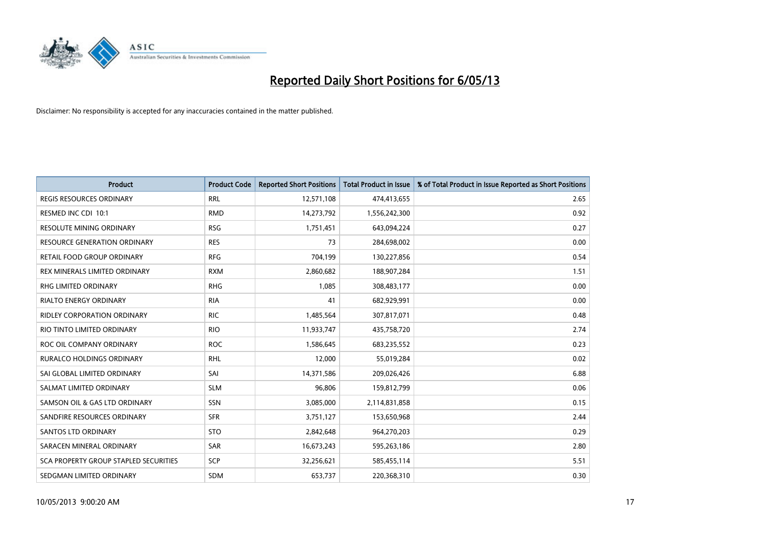

| <b>Product</b>                               | <b>Product Code</b> | <b>Reported Short Positions</b> | <b>Total Product in Issue</b> | % of Total Product in Issue Reported as Short Positions |
|----------------------------------------------|---------------------|---------------------------------|-------------------------------|---------------------------------------------------------|
| <b>REGIS RESOURCES ORDINARY</b>              | <b>RRL</b>          | 12,571,108                      | 474,413,655                   | 2.65                                                    |
| RESMED INC CDI 10:1                          | <b>RMD</b>          | 14,273,792                      | 1,556,242,300                 | 0.92                                                    |
| <b>RESOLUTE MINING ORDINARY</b>              | <b>RSG</b>          | 1,751,451                       | 643,094,224                   | 0.27                                                    |
| RESOURCE GENERATION ORDINARY                 | <b>RES</b>          | 73                              | 284,698,002                   | 0.00                                                    |
| <b>RETAIL FOOD GROUP ORDINARY</b>            | <b>RFG</b>          | 704,199                         | 130,227,856                   | 0.54                                                    |
| REX MINERALS LIMITED ORDINARY                | <b>RXM</b>          | 2,860,682                       | 188,907,284                   | 1.51                                                    |
| <b>RHG LIMITED ORDINARY</b>                  | <b>RHG</b>          | 1,085                           | 308,483,177                   | 0.00                                                    |
| <b>RIALTO ENERGY ORDINARY</b>                | <b>RIA</b>          | 41                              | 682,929,991                   | 0.00                                                    |
| RIDLEY CORPORATION ORDINARY                  | <b>RIC</b>          | 1,485,564                       | 307,817,071                   | 0.48                                                    |
| RIO TINTO LIMITED ORDINARY                   | <b>RIO</b>          | 11,933,747                      | 435,758,720                   | 2.74                                                    |
| ROC OIL COMPANY ORDINARY                     | <b>ROC</b>          | 1,586,645                       | 683,235,552                   | 0.23                                                    |
| RURALCO HOLDINGS ORDINARY                    | <b>RHL</b>          | 12,000                          | 55,019,284                    | 0.02                                                    |
| SAI GLOBAL LIMITED ORDINARY                  | SAI                 | 14,371,586                      | 209,026,426                   | 6.88                                                    |
| SALMAT LIMITED ORDINARY                      | <b>SLM</b>          | 96,806                          | 159,812,799                   | 0.06                                                    |
| SAMSON OIL & GAS LTD ORDINARY                | SSN                 | 3,085,000                       | 2,114,831,858                 | 0.15                                                    |
| SANDFIRE RESOURCES ORDINARY                  | <b>SFR</b>          | 3,751,127                       | 153,650,968                   | 2.44                                                    |
| SANTOS LTD ORDINARY                          | <b>STO</b>          | 2,842,648                       | 964,270,203                   | 0.29                                                    |
| SARACEN MINERAL ORDINARY                     | <b>SAR</b>          | 16,673,243                      | 595,263,186                   | 2.80                                                    |
| <b>SCA PROPERTY GROUP STAPLED SECURITIES</b> | <b>SCP</b>          | 32,256,621                      | 585,455,114                   | 5.51                                                    |
| SEDGMAN LIMITED ORDINARY                     | <b>SDM</b>          | 653,737                         | 220,368,310                   | 0.30                                                    |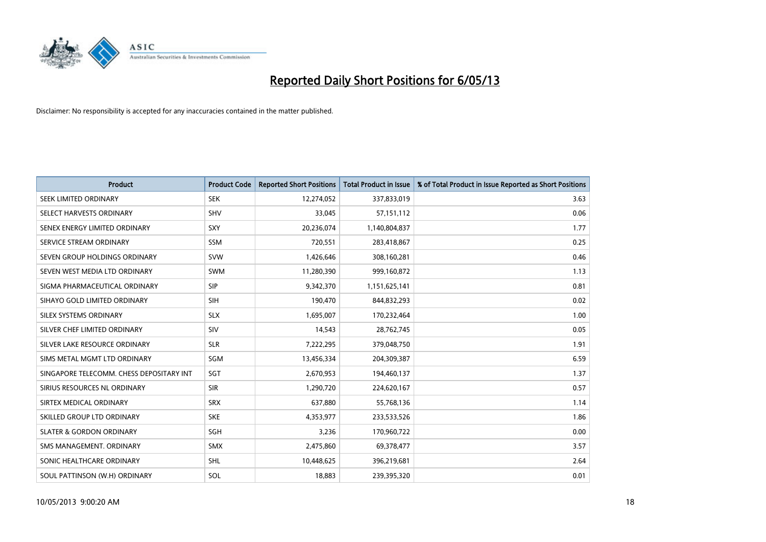

| <b>Product</b>                           | <b>Product Code</b> | <b>Reported Short Positions</b> | <b>Total Product in Issue</b> | % of Total Product in Issue Reported as Short Positions |
|------------------------------------------|---------------------|---------------------------------|-------------------------------|---------------------------------------------------------|
| SEEK LIMITED ORDINARY                    | <b>SEK</b>          | 12,274,052                      | 337,833,019                   | 3.63                                                    |
| SELECT HARVESTS ORDINARY                 | <b>SHV</b>          | 33,045                          | 57,151,112                    | 0.06                                                    |
| SENEX ENERGY LIMITED ORDINARY            | <b>SXY</b>          | 20,236,074                      | 1,140,804,837                 | 1.77                                                    |
| SERVICE STREAM ORDINARY                  | <b>SSM</b>          | 720,551                         | 283,418,867                   | 0.25                                                    |
| SEVEN GROUP HOLDINGS ORDINARY            | <b>SVW</b>          | 1,426,646                       | 308,160,281                   | 0.46                                                    |
| SEVEN WEST MEDIA LTD ORDINARY            | <b>SWM</b>          | 11,280,390                      | 999,160,872                   | 1.13                                                    |
| SIGMA PHARMACEUTICAL ORDINARY            | <b>SIP</b>          | 9,342,370                       | 1,151,625,141                 | 0.81                                                    |
| SIHAYO GOLD LIMITED ORDINARY             | <b>SIH</b>          | 190,470                         | 844,832,293                   | 0.02                                                    |
| SILEX SYSTEMS ORDINARY                   | <b>SLX</b>          | 1,695,007                       | 170,232,464                   | 1.00                                                    |
| SILVER CHEF LIMITED ORDINARY             | SIV                 | 14,543                          | 28,762,745                    | 0.05                                                    |
| SILVER LAKE RESOURCE ORDINARY            | <b>SLR</b>          | 7,222,295                       | 379,048,750                   | 1.91                                                    |
| SIMS METAL MGMT LTD ORDINARY             | SGM                 | 13,456,334                      | 204,309,387                   | 6.59                                                    |
| SINGAPORE TELECOMM. CHESS DEPOSITARY INT | SGT                 | 2,670,953                       | 194,460,137                   | 1.37                                                    |
| SIRIUS RESOURCES NL ORDINARY             | <b>SIR</b>          | 1,290,720                       | 224,620,167                   | 0.57                                                    |
| SIRTEX MEDICAL ORDINARY                  | <b>SRX</b>          | 637,880                         | 55,768,136                    | 1.14                                                    |
| SKILLED GROUP LTD ORDINARY               | <b>SKE</b>          | 4,353,977                       | 233,533,526                   | 1.86                                                    |
| <b>SLATER &amp; GORDON ORDINARY</b>      | SGH                 | 3,236                           | 170,960,722                   | 0.00                                                    |
| SMS MANAGEMENT. ORDINARY                 | <b>SMX</b>          | 2,475,860                       | 69,378,477                    | 3.57                                                    |
| SONIC HEALTHCARE ORDINARY                | SHL                 | 10,448,625                      | 396,219,681                   | 2.64                                                    |
| SOUL PATTINSON (W.H) ORDINARY            | SOL                 | 18,883                          | 239,395,320                   | 0.01                                                    |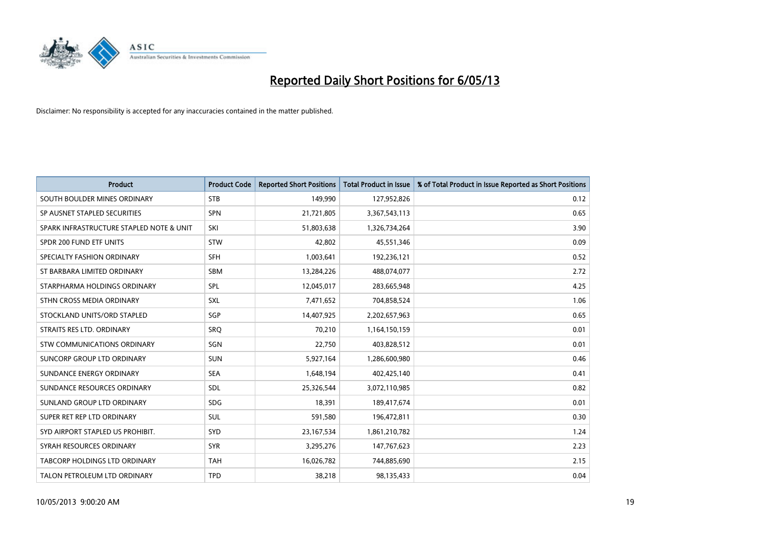

| <b>Product</b>                           | <b>Product Code</b> | <b>Reported Short Positions</b> | <b>Total Product in Issue</b> | % of Total Product in Issue Reported as Short Positions |
|------------------------------------------|---------------------|---------------------------------|-------------------------------|---------------------------------------------------------|
| SOUTH BOULDER MINES ORDINARY             | <b>STB</b>          | 149,990                         | 127,952,826                   | 0.12                                                    |
| SP AUSNET STAPLED SECURITIES             | <b>SPN</b>          | 21,721,805                      | 3,367,543,113                 | 0.65                                                    |
| SPARK INFRASTRUCTURE STAPLED NOTE & UNIT | SKI                 | 51,803,638                      | 1,326,734,264                 | 3.90                                                    |
| SPDR 200 FUND ETF UNITS                  | <b>STW</b>          | 42,802                          | 45,551,346                    | 0.09                                                    |
| SPECIALTY FASHION ORDINARY               | <b>SFH</b>          | 1,003,641                       | 192,236,121                   | 0.52                                                    |
| ST BARBARA LIMITED ORDINARY              | SBM                 | 13,284,226                      | 488,074,077                   | 2.72                                                    |
| STARPHARMA HOLDINGS ORDINARY             | SPL                 | 12,045,017                      | 283,665,948                   | 4.25                                                    |
| STHN CROSS MEDIA ORDINARY                | SXL                 | 7,471,652                       | 704,858,524                   | 1.06                                                    |
| STOCKLAND UNITS/ORD STAPLED              | SGP                 | 14,407,925                      | 2,202,657,963                 | 0.65                                                    |
| STRAITS RES LTD. ORDINARY                | <b>SRO</b>          | 70,210                          | 1,164,150,159                 | 0.01                                                    |
| STW COMMUNICATIONS ORDINARY              | SGN                 | 22,750                          | 403,828,512                   | 0.01                                                    |
| SUNCORP GROUP LTD ORDINARY               | <b>SUN</b>          | 5,927,164                       | 1,286,600,980                 | 0.46                                                    |
| SUNDANCE ENERGY ORDINARY                 | <b>SEA</b>          | 1,648,194                       | 402,425,140                   | 0.41                                                    |
| SUNDANCE RESOURCES ORDINARY              | SDL                 | 25,326,544                      | 3,072,110,985                 | 0.82                                                    |
| SUNLAND GROUP LTD ORDINARY               | <b>SDG</b>          | 18,391                          | 189,417,674                   | 0.01                                                    |
| SUPER RET REP LTD ORDINARY               | SUL                 | 591,580                         | 196,472,811                   | 0.30                                                    |
| SYD AIRPORT STAPLED US PROHIBIT.         | <b>SYD</b>          | 23, 167, 534                    | 1,861,210,782                 | 1.24                                                    |
| SYRAH RESOURCES ORDINARY                 | <b>SYR</b>          | 3,295,276                       | 147,767,623                   | 2.23                                                    |
| TABCORP HOLDINGS LTD ORDINARY            | <b>TAH</b>          | 16,026,782                      | 744,885,690                   | 2.15                                                    |
| TALON PETROLEUM LTD ORDINARY             | <b>TPD</b>          | 38,218                          | 98,135,433                    | 0.04                                                    |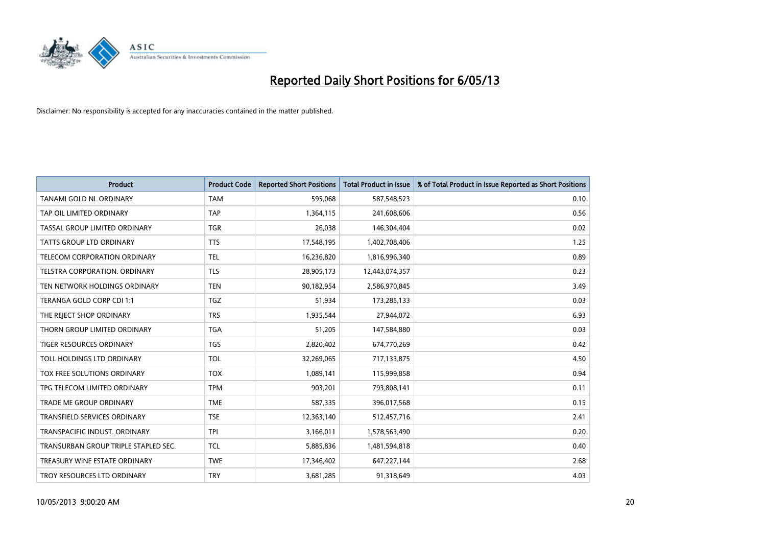

| <b>Product</b>                       | <b>Product Code</b> | <b>Reported Short Positions</b> | <b>Total Product in Issue</b> | % of Total Product in Issue Reported as Short Positions |
|--------------------------------------|---------------------|---------------------------------|-------------------------------|---------------------------------------------------------|
| <b>TANAMI GOLD NL ORDINARY</b>       | <b>TAM</b>          | 595,068                         | 587,548,523                   | 0.10                                                    |
| TAP OIL LIMITED ORDINARY             | <b>TAP</b>          | 1,364,115                       | 241,608,606                   | 0.56                                                    |
| TASSAL GROUP LIMITED ORDINARY        | <b>TGR</b>          | 26,038                          | 146,304,404                   | 0.02                                                    |
| TATTS GROUP LTD ORDINARY             | <b>TTS</b>          | 17,548,195                      | 1,402,708,406                 | 1.25                                                    |
| TELECOM CORPORATION ORDINARY         | <b>TEL</b>          | 16,236,820                      | 1,816,996,340                 | 0.89                                                    |
| TELSTRA CORPORATION, ORDINARY        | <b>TLS</b>          | 28,905,173                      | 12,443,074,357                | 0.23                                                    |
| TEN NETWORK HOLDINGS ORDINARY        | <b>TEN</b>          | 90,182,954                      | 2,586,970,845                 | 3.49                                                    |
| TERANGA GOLD CORP CDI 1:1            | <b>TGZ</b>          | 51,934                          | 173,285,133                   | 0.03                                                    |
| THE REJECT SHOP ORDINARY             | <b>TRS</b>          | 1,935,544                       | 27,944,072                    | 6.93                                                    |
| THORN GROUP LIMITED ORDINARY         | <b>TGA</b>          | 51,205                          | 147,584,880                   | 0.03                                                    |
| TIGER RESOURCES ORDINARY             | <b>TGS</b>          | 2,820,402                       | 674,770,269                   | 0.42                                                    |
| TOLL HOLDINGS LTD ORDINARY           | <b>TOL</b>          | 32,269,065                      | 717,133,875                   | 4.50                                                    |
| TOX FREE SOLUTIONS ORDINARY          | <b>TOX</b>          | 1,089,141                       | 115,999,858                   | 0.94                                                    |
| TPG TELECOM LIMITED ORDINARY         | <b>TPM</b>          | 903,201                         | 793,808,141                   | 0.11                                                    |
| TRADE ME GROUP ORDINARY              | <b>TME</b>          | 587,335                         | 396,017,568                   | 0.15                                                    |
| <b>TRANSFIELD SERVICES ORDINARY</b>  | <b>TSE</b>          | 12,363,140                      | 512,457,716                   | 2.41                                                    |
| TRANSPACIFIC INDUST. ORDINARY        | <b>TPI</b>          | 3,166,011                       | 1,578,563,490                 | 0.20                                                    |
| TRANSURBAN GROUP TRIPLE STAPLED SEC. | <b>TCL</b>          | 5,885,836                       | 1,481,594,818                 | 0.40                                                    |
| TREASURY WINE ESTATE ORDINARY        | <b>TWE</b>          | 17,346,402                      | 647,227,144                   | 2.68                                                    |
| TROY RESOURCES LTD ORDINARY          | <b>TRY</b>          | 3,681,285                       | 91,318,649                    | 4.03                                                    |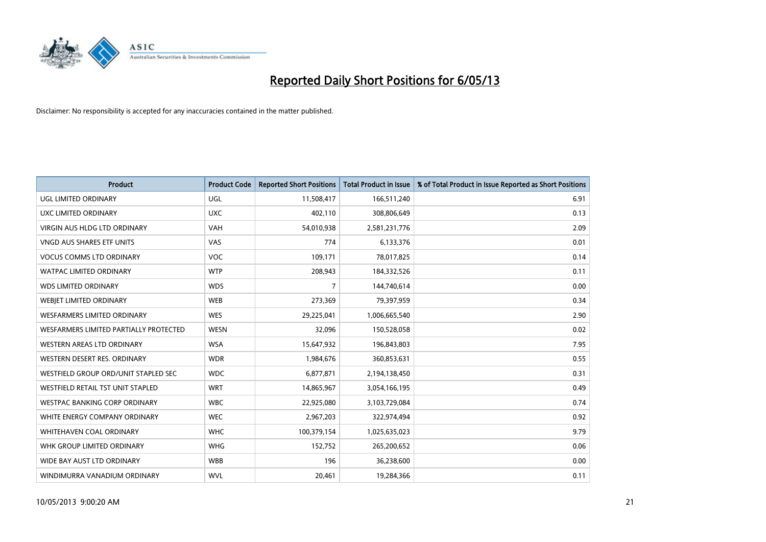

| <b>Product</b>                         | <b>Product Code</b> | <b>Reported Short Positions</b> | <b>Total Product in Issue</b> | % of Total Product in Issue Reported as Short Positions |
|----------------------------------------|---------------------|---------------------------------|-------------------------------|---------------------------------------------------------|
| <b>UGL LIMITED ORDINARY</b>            | UGL                 | 11,508,417                      | 166,511,240                   | 6.91                                                    |
| UXC LIMITED ORDINARY                   | <b>UXC</b>          | 402,110                         | 308,806,649                   | 0.13                                                    |
| <b>VIRGIN AUS HLDG LTD ORDINARY</b>    | <b>VAH</b>          | 54,010,938                      | 2,581,231,776                 | 2.09                                                    |
| <b>VNGD AUS SHARES ETF UNITS</b>       | VAS                 | 774                             | 6,133,376                     | 0.01                                                    |
| <b>VOCUS COMMS LTD ORDINARY</b>        | <b>VOC</b>          | 109,171                         | 78,017,825                    | 0.14                                                    |
| <b>WATPAC LIMITED ORDINARY</b>         | <b>WTP</b>          | 208,943                         | 184,332,526                   | 0.11                                                    |
| <b>WDS LIMITED ORDINARY</b>            | <b>WDS</b>          | 7                               | 144,740,614                   | 0.00                                                    |
| WEBJET LIMITED ORDINARY                | <b>WEB</b>          | 273,369                         | 79,397,959                    | 0.34                                                    |
| WESFARMERS LIMITED ORDINARY            | <b>WES</b>          | 29,225,041                      | 1,006,665,540                 | 2.90                                                    |
| WESFARMERS LIMITED PARTIALLY PROTECTED | <b>WESN</b>         | 32,096                          | 150,528,058                   | 0.02                                                    |
| WESTERN AREAS LTD ORDINARY             | <b>WSA</b>          | 15,647,932                      | 196,843,803                   | 7.95                                                    |
| WESTERN DESERT RES. ORDINARY           | <b>WDR</b>          | 1,984,676                       | 360,853,631                   | 0.55                                                    |
| WESTFIELD GROUP ORD/UNIT STAPLED SEC   | <b>WDC</b>          | 6,877,871                       | 2,194,138,450                 | 0.31                                                    |
| WESTFIELD RETAIL TST UNIT STAPLED      | <b>WRT</b>          | 14,865,967                      | 3,054,166,195                 | 0.49                                                    |
| <b>WESTPAC BANKING CORP ORDINARY</b>   | <b>WBC</b>          | 22,925,080                      | 3,103,729,084                 | 0.74                                                    |
| WHITE ENERGY COMPANY ORDINARY          | <b>WEC</b>          | 2,967,203                       | 322,974,494                   | 0.92                                                    |
| WHITEHAVEN COAL ORDINARY               | <b>WHC</b>          | 100,379,154                     | 1,025,635,023                 | 9.79                                                    |
| WHK GROUP LIMITED ORDINARY             | <b>WHG</b>          | 152,752                         | 265,200,652                   | 0.06                                                    |
| WIDE BAY AUST LTD ORDINARY             | <b>WBB</b>          | 196                             | 36,238,600                    | 0.00                                                    |
| WINDIMURRA VANADIUM ORDINARY           | <b>WVL</b>          | 20,461                          | 19,284,366                    | 0.11                                                    |